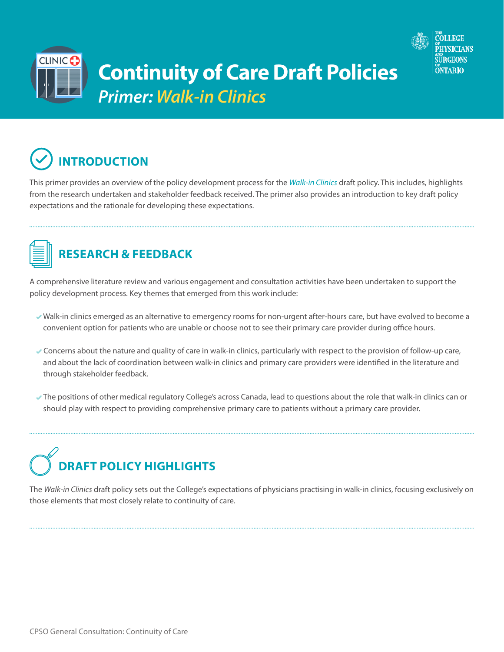

## **Continuity of Care Draft Policies** *Primer: Walk-in Clinics*



CLINIC **C** 

This primer provides an overview of the policy development process for the *[Walk-in Clinics](http://policyconsult.cpso.on.ca/wp-content/uploads/2018/06/Walk-in-clinics_Draft-for-Consultation.pdf)* draft policy. This includes, highlights from the research undertaken and stakeholder feedback received. The primer also provides an introduction to key draft policy expectations and the rationale for developing these expectations.



## **RESEARCH & FEEDBACK**

A comprehensive literature review and various engagement and consultation activities have been undertaken to support the policy development process. Key themes that emerged from this work include:

- Walk-in clinics emerged as an alternative to emergency rooms for non-urgent after-hours care, but have evolved to become a convenient option for patients who are unable or choose not to see their primary care provider during office hours.
- Concerns about the nature and quality of care in walk-in clinics, particularly with respect to the provision of follow-up care, and about the lack of coordination between walk-in clinics and primary care providers were identified in the literature and through stakeholder feedback.
- The positions of other medical regulatory College's across Canada, lead to questions about the role that walk-in clinics can or should play with respect to providing comprehensive primary care to patients without a primary care provider.

## **DRAFT POLICY HIGHLIGHTS**

The *Walk-in Clinics* draft policy sets out the College's expectations of physicians practising in walk-in clinics, focusing exclusively on those elements that most closely relate to continuity of care.